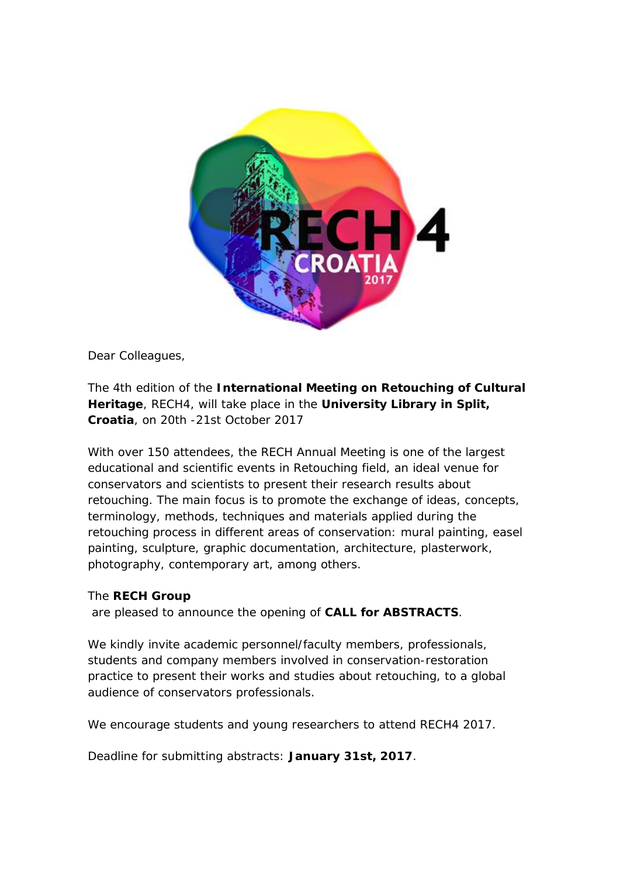

Dear Colleagues,

The 4th edition of the **International Meeting on Retouching of Cultural Heritage**, RECH4, will take place in the **University Library in Split, Croatia**, on 20th -21st October 2017

With over 150 attendees, the RECH Annual Meeting is one of the largest educational and scientific events in Retouching field, an ideal venue for conservators and scientists to present their research results about retouching. The main focus is to promote the exchange of ideas, concepts, terminology, methods, techniques and materials applied during the retouching process in different areas of conservation: mural painting, easel painting, sculpture, graphic documentation, architecture, plasterwork, photography, contemporary art, among others.

## The **RECH Group**

are pleased to announce the opening of **CALL for ABSTRACTS**.

We kindly invite academic personnel/faculty members, professionals, students and company members involved in conservation-restoration practice to present their works and studies about retouching, to a global audience of conservators professionals.

We encourage students and young researchers to attend RECH4 2017.

Deadline for submitting abstracts: **January 31st, 2017**.